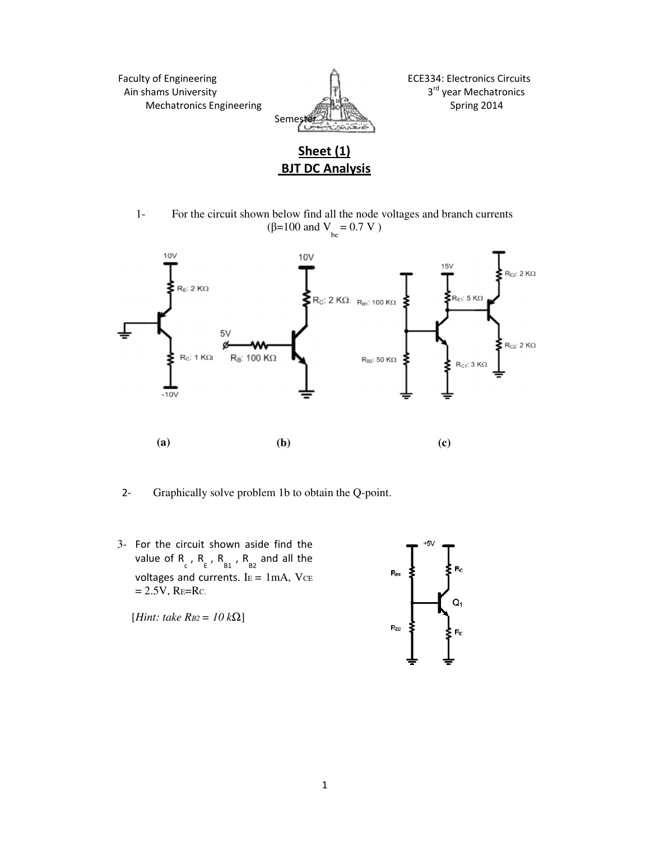Faculty of Engineering **ECE334:** Electronics Circuits Ain shams University **3rd** year Mechatronics Mechatronics Engineering Spring 2014



## **Sheet (1) BJT DC Analysis**

1- For the circuit shown below find all the node voltages and branch currents (β=100 and  $V_{be} = 0.7 V$ )



2- Graphically solve problem 1b to obtain the Q-point.

3- For the circuit shown aside find the value of  $R_{c}$ ,  $R_{E}$ ,  $R_{B1}$ ,  $R_{B2}$  and all the voltages and currents.  $I<sub>E</sub> = 1mA$ ,  $V<sub>CE</sub>$  $= 2.5V$ , RE=Rc.

[*Hint: take RB2 = 10 k*Ω]

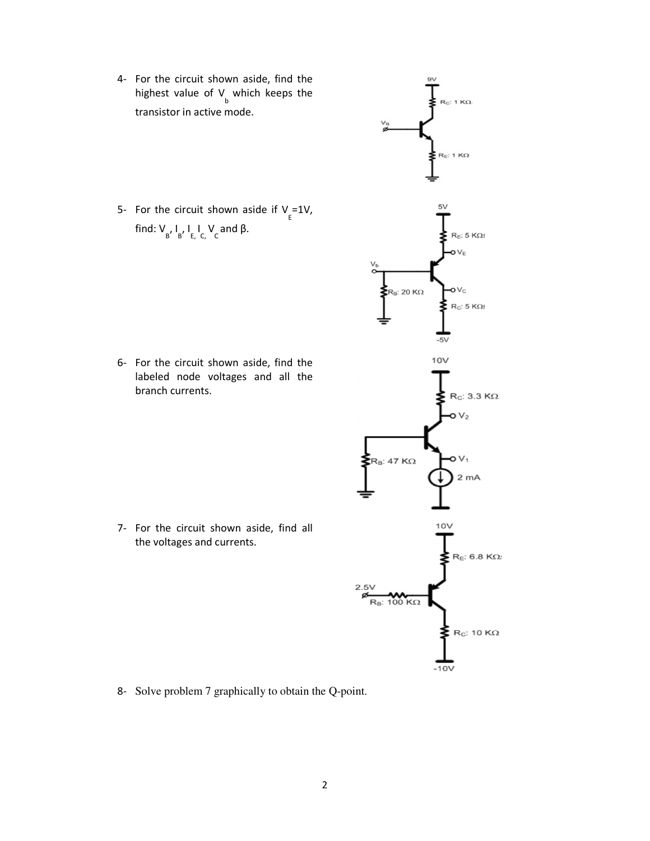4- For the circuit shown aside, find the highest value of  $V_{\text{b}}$  which keeps the transistor in active mode.

5- For the circuit shown aside if  $V_{E} = 1V$ , find:  $V_{B}$ ,  $I_{C}$ ,  $I_{C}$ ,  $V_{C}$  and β.

6- For the circuit shown aside, find the labeled node voltages and all the branch currents.

7- For the circuit shown aside, find all the voltages and currents.



8- Solve problem 7 graphically to obtain the Q-point.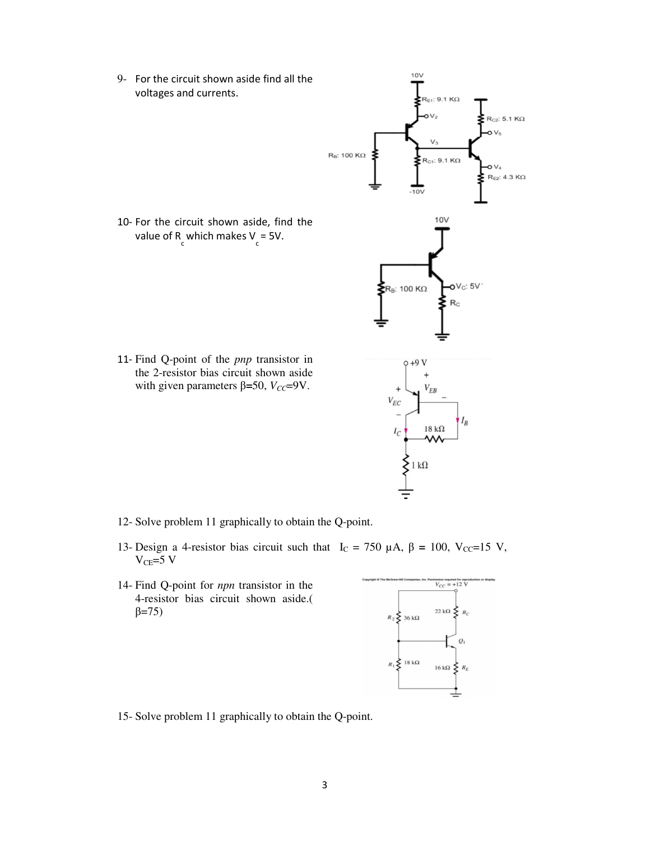9- For the circuit shown aside find all the voltages and currents.



- 12- Solve problem 11 graphically to obtain the Q-point.
- 13- Design a 4-resistor bias circuit such that I<sub>C</sub> = 750 μA, β = 100, V<sub>CC</sub>=15 V,  $V_{CE}=5$  V
- 14- Find Q-point for *npn* transistor in the 4-resistor bias circuit shown aside.(  $β = 75$ )



 $10V$ 

15- Solve problem 11 graphically to obtain the Q-point.